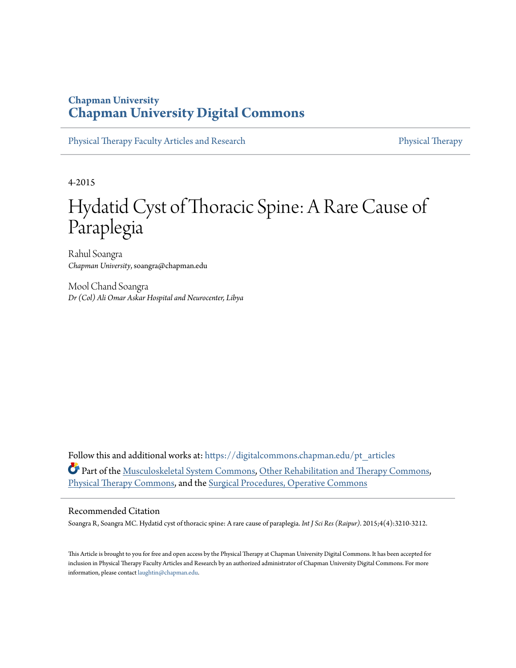## **Chapman University [Chapman University Digital Commons](https://digitalcommons.chapman.edu?utm_source=digitalcommons.chapman.edu%2Fpt_articles%2F76&utm_medium=PDF&utm_campaign=PDFCoverPages)**

[Physical Therapy Faculty Articles and Research](https://digitalcommons.chapman.edu/pt_articles?utm_source=digitalcommons.chapman.edu%2Fpt_articles%2F76&utm_medium=PDF&utm_campaign=PDFCoverPages) [Physical Therapy](https://digitalcommons.chapman.edu/physicaltherapy?utm_source=digitalcommons.chapman.edu%2Fpt_articles%2F76&utm_medium=PDF&utm_campaign=PDFCoverPages)

4-2015

# Hydatid Cyst of Thoracic Spine: A Rare Cause of Paraplegia

Rahul Soangra *Chapman University*, soangra@chapman.edu

Mool Chand Soangra *Dr (Col) Ali Omar Askar Hospital and Neurocenter, Libya*

Follow this and additional works at: [https://digitalcommons.chapman.edu/pt\\_articles](https://digitalcommons.chapman.edu/pt_articles?utm_source=digitalcommons.chapman.edu%2Fpt_articles%2F76&utm_medium=PDF&utm_campaign=PDFCoverPages) Part of the [Musculoskeletal System Commons,](http://network.bepress.com/hgg/discipline/938?utm_source=digitalcommons.chapman.edu%2Fpt_articles%2F76&utm_medium=PDF&utm_campaign=PDFCoverPages) [Other Rehabilitation and Therapy Commons,](http://network.bepress.com/hgg/discipline/758?utm_source=digitalcommons.chapman.edu%2Fpt_articles%2F76&utm_medium=PDF&utm_campaign=PDFCoverPages) [Physical Therapy Commons](http://network.bepress.com/hgg/discipline/754?utm_source=digitalcommons.chapman.edu%2Fpt_articles%2F76&utm_medium=PDF&utm_campaign=PDFCoverPages), and the [Surgical Procedures, Operative Commons](http://network.bepress.com/hgg/discipline/974?utm_source=digitalcommons.chapman.edu%2Fpt_articles%2F76&utm_medium=PDF&utm_campaign=PDFCoverPages)

## Recommended Citation

Soangra R, Soangra MC. Hydatid cyst of thoracic spine: A rare cause of paraplegia. *Int J Sci Res (Raipur)*. 2015;4(4):3210-3212.

This Article is brought to you for free and open access by the Physical Therapy at Chapman University Digital Commons. It has been accepted for inclusion in Physical Therapy Faculty Articles and Research by an authorized administrator of Chapman University Digital Commons. For more information, please contact [laughtin@chapman.edu](mailto:laughtin@chapman.edu).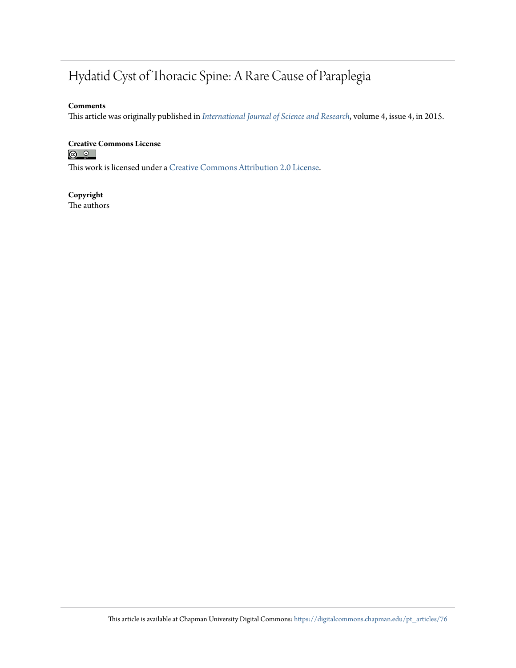## Hydatid Cyst of Thoracic Spine: A Rare Cause of Paraplegia

## **Comments**

This article was originally published in *[International Journal of Science and Research](https://www.ijsr.net/archive/v4i4/v4i4.php)*, volume 4, issue 4, in 2015.

## **Creative Commons License**<br> **C** <u>**Q Q**</u>

This work is licensed under a [Creative Commons Attribution 2.0 License.](https://creativecommons.org/licenses/by/2.0/)

## **Copyright** The authors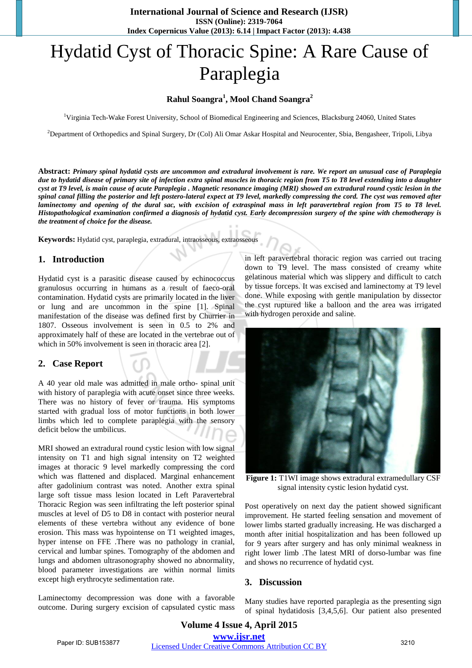# Hydatid Cyst of Thoracic Spine: A Rare Cause of Paraplegia

## **Rahul Soangra<sup>1</sup> , Mool Chand Soangra<sup>2</sup>**

<sup>1</sup>Virginia Tech-Wake Forest University, School of Biomedical Engineering and Sciences, Blacksburg 24060, United States

<sup>2</sup>Department of Orthopedics and Spinal Surgery, Dr (Col) Ali Omar Askar Hospital and Neurocenter, Sbia, Bengasheer, Tripoli, Libya

**Abstract:** *Primary spinal hydatid cysts are uncommon and extradural involvement is rare. We report an unusual case of Paraplegia due to hydatid disease of primary site of infection extra spinal muscles in thoracic region from T5 to T8 level extending into a daughter cyst at T9 level, is main cause of acute Paraplegia . Magnetic resonance imaging (MRI) showed an extradural round cystic lesion in the spinal canal filling the posterior and left postero-lateral expect at T9 level, markedly compressing the cord. The cyst was removed after laminectomy and opening of the dural sac, with excision of extraspinal mass in left paravertebral region from T5 to T8 level. Histopathological examination confirmed a diagnosis of hydatid cyst. Early decompression surgery of the spine with chemotherapy is the treatment of choice for the disease.*

**Keywords:** Hydatid cyst, paraplegia, extradural, intraosseous, extraosseous

## **1. Introduction**

Hydatid cyst is a parasitic disease caused by echinococcus granulosus occurring in humans as a result of faeco-oral contamination. Hydatid cysts are primarily located in the liver or lung and are uncommon in the spine [1]. Spinal manifestation of the disease was defined first by Churrier in 1807. Osseous involvement is seen in 0.5 to 2% and approximately half of these are located in the vertebrae out of which in 50% involvement is seen in thoracic area [2].

## **2. Case Report**

A 40 year old male was admitted in male ortho- spinal unit with history of paraplegia with acute onset since three weeks. There was no history of fever or trauma. His symptoms started with gradual loss of motor functions in both lower limbs which led to complete paraplegia with the sensory deficit below the umbilicus.

MRI showed an extradural round cystic lesion with low signal intensity on T1 and high signal intensity on T2 weighted images at thoracic 9 level markedly compressing the cord which was flattened and displaced. Marginal enhancement after gadolinium contrast was noted. Another extra spinal large soft tissue mass lesion located in Left Paravertebral Thoracic Region was seen infiltrating the left posterior spinal muscles at level of D5 to D8 in contact with posterior neural elements of these vertebra without any evidence of bone erosion. This mass was hypointense on T1 weighted images, hyper intense on FFE .There was no pathology in cranial, cervical and lumbar spines. Tomography of the abdomen and lungs and abdomen ultrasonography showed no abnormality, blood parameter investigations are within normal limits except high erythrocyte sedimentation rate.

Laminectomy decompression was done with a favorable outcome. During surgery excision of capsulated cystic mass

in left paravertebral thoracic region was carried out tracing down to T9 level. The mass consisted of creamy white gelatinous material which was slippery and difficult to catch by tissue forceps. It was excised and laminectomy at T9 level done. While exposing with gentle manipulation by dissector the cyst ruptured like a balloon and the area was irrigated with hydrogen peroxide and saline.



**Figure 1:** T1WI image shows extradural extramedullary CSF signal intensity cystic lesion hydatid cyst.

Post operatively on next day the patient showed significant improvement. He started feeling sensation and movement of lower limbs started gradually increasing. He was discharged a month after initial hospitalization and has been followed up for 9 years after surgery and has only minimal weakness in right lower limb .The latest MRI of dorso-lumbar was fine and shows no recurrence of hydatid cyst.

## **3. Discussion**

Many studies have reported paraplegia as the presenting sign of spinal hydatidosis [3,4,5,6]. Our patient also presented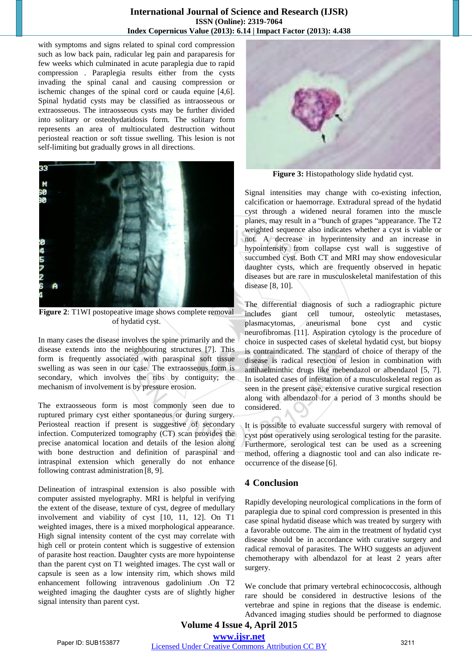## **International Journal of Science and Research (IJSR) ISSN (Online): 2319-7064 Index Copernicus Value (2013): 6.14 | Impact Factor (2013): 4.438**

with symptoms and signs related to spinal cord compression such as low back pain, radicular leg pain and paraparesis for few weeks which culminated in acute paraplegia due to rapid compression . Paraplegia results either from the cysts invading the spinal canal and causing compression or ischemic changes of the spinal cord or cauda equine [4,6]. Spinal hydatid cysts may be classified as intraosseous or extraosseous. The intraosseous cysts may be further divided into solitary or osteohydatidosis form. The solitary form represents an area of multioculated destruction without periosteal reaction or soft tissue swelling. This lesion is not self-limiting but gradually grows in all directions.



**Figure 2**: T1WI postopeative image shows complete removal of hydatid cyst.

In many cases the disease involves the spine primarily and the disease extends into the neighbouring structures [7]. This form is frequently associated with paraspinal soft tissue swelling as was seen in our case. The extraosseous form is secondary, which involves the ribs by contiguity; the mechanism of involvement is by pressure erosion.

The extraosseous form is most commonly seen due to ruptured primary cyst either spontaneous or during surgery. Periosteal reaction if present is suggestive of secondary infection. Computerized tomography (CT) scan provides the precise anatomical location and details of the lesion along with bone destruction and definition of paraspinal and intraspinal extension which generally do not enhance following contrast administration [8, 9].

Delineation of intraspinal extension is also possible with computer assisted myelography. MRI is helpful in verifying the extent of the disease, texture of cyst, degree of medullary involvement and viability of cyst [10, 11, 12]. On T1 weighted images, there is a mixed morphological appearance. High signal intensity content of the cyst may correlate with high cell or protein content which is suggestive of extension of parasite host reaction. Daughter cysts are more hypointense than the parent cyst on T1 weighted images. The cyst wall or capsule is seen as a low intensity rim, which shows mild enhancement following intravenous gadolinium .On T2 weighted imaging the daughter cysts are of slightly higher signal intensity than parent cyst.



**Figure 3:** Histopathology slide hydatid cyst.

Signal intensities may change with co-existing infection, calcification or haemorrage. Extradural spread of the hydatid cyst through a widened neural foramen into the muscle planes, may result in a "bunch of grapes "appearance. The T2 weighted sequence also indicates whether a cyst is viable or not. A decrease in hyperintensity and an increase in hypointensity from collapse cyst wall is suggestive of succumbed cyst. Both CT and MRI may show endovesicular daughter cysts, which are frequently observed in hepatic diseases but are rare in musculoskeletal manifestation of this disease [8, 10].

The differential diagnosis of such a radiographic picture includes giant cell tumour, osteolytic metastases, plasmacytomas, aneurismal bone cyst and cystic neurofibromas [11]. Aspiration cytology is the procedure of choice in suspected cases of skeletal hydatid cyst, but biopsy is contraindicated. The standard of choice of therapy of the disease is radical resection of lesion in combination with antihaelminthic drugs like mebendazol or albendazol [5, 7]. In isolated cases of infestation of a musculoskeletal region as seen in the present case, extensive curative surgical resection along with albendazol for a period of 3 months should be considered.

It is possible to evaluate successful surgery with removal of cyst post operatively using serological testing for the parasite. Furthermore, serological test can be used as a screening method, offering a diagnostic tool and can also indicate reoccurrence of the disease [6].

## **4 Conclusion**

Rapidly developing neurological complications in the form of paraplegia due to spinal cord compression is presented in this case spinal hydatid disease which was treated by surgery with a favorable outcome. The aim in the treatment of hydatid cyst disease should be in accordance with curative surgery and radical removal of parasites. The WHO suggests an adjuvent chemotherapy with albendazol for at least 2 years after surgery.

We conclude that primary vertebral echinococcosis, although rare should be considered in destructive lesions of the vertebrae and spine in regions that the disease is endemic. Advanced imaging studies should be performed to diagnose